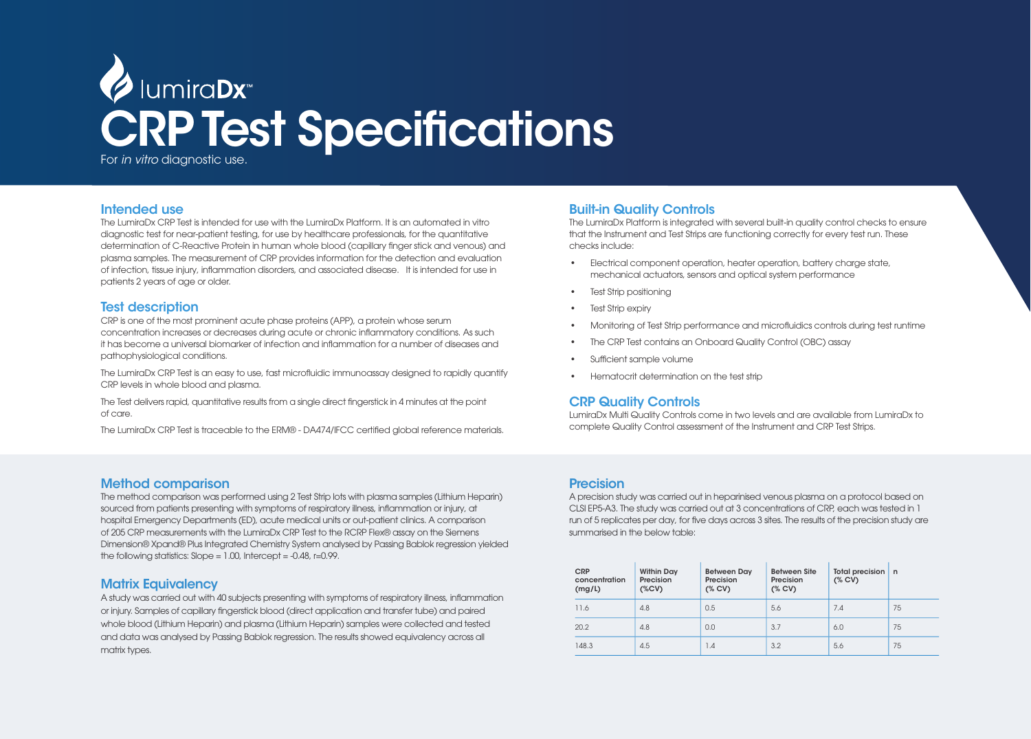

## Intended use

The LumiraDx CRP Test is intended for use with the LumiraDx Platform. It is an automated in vitro diagnostic test for near-patient testing, for use by healthcare professionals, for the quantitative determination of C-Reactive Protein in human whole blood (capillary finger stick and venous) and plasma samples. The measurement of CRP provides information for the detection and evaluation of infection, tissue injury, inflammation disorders, and associated disease. It is intended for use in patients 2 years of age or older.

## Test description

CRP is one of the most prominent acute phase proteins (APP), a protein whose serum concentration increases or decreases during acute or chronic inflammatory conditions. As such it has become a universal biomarker of infection and inflammation for a number of diseases and pathophysiological conditions.

The LumiraDx CRP Test is an easy to use, fast microfluidic immunoassay designed to rapidly quantify CRP levels in whole blood and plasma.

The Test delivers rapid, quantitative results from a single direct fingerstick in 4 minutes at the point of care.

The LumiraDx CRP Test is traceable to the ERM® - DA474/IFCC certified global reference materials.

## Method comparison

The method comparison was performed using 2 Test Strip lots with plasma samples (Lithium Heparin) sourced from patients presenting with symptoms of respiratory illness, inflammation or injury, at hospital Emergency Departments (ED), acute medical units or out-patient clinics. A comparison of 205 CRP measurements with the LumiraDx CRP Test to the RCRP Flex® assay on the Siemens Dimension® Xpand® Plus Integrated Chemistry System analysed by Passing Bablok regression yielded the following statistics:  $Slope = 1.00$ , Intercept =  $-0.48$ , r=0.99.

## Matrix Equivalency

A study was carried out with 40 subjects presenting with symptoms of respiratory illness, inflammation or injury. Samples of capillary fingerstick blood (direct application and transfer tube) and paired whole blood (Lithium Heparin) and plasma (Lithium Heparin) samples were collected and tested and data was analysed by Passing Bablok regression. The results showed equivalency across all matrix types.

# Built-in Quality Controls

The LumiraDx Platform is integrated with several built-in quality control checks to ensure that the Instrument and Test Strips are functioning correctly for every test run. These checks include:

- Electrical component operation, heater operation, battery charge state, mechanical actuators, sensors and optical system performance
- Test Strip positioning
- **Test Strip expiry**
- Monitoring of Test Strip performance and microfluidics controls during test runtime
- The CRP Test contains an Onboard Quality Control (OBC) assay
- Sufficient sample volume
- Hematocrit determination on the test strip

## CRP Quality Controls

LumiraDx Multi Quality Controls come in two levels and are available from LumiraDx to complete Quality Control assessment of the Instrument and CRP Test Strips.

## Precision

A precision study was carried out in heparinised venous plasma on a protocol based on CLSI EP5-A3. The study was carried out at 3 concentrations of CRP, each was tested in 1 run of 5 replicates per day, for five days across 3 sites. The results of the precision study are summarised in the below table:

| <b>CRP</b><br>concentration<br>(mg/L) | <b>Within Day</b><br>Precision<br>$(*cv)$ | <b>Between Day</b><br>Precision<br>(% CV) | <b>Between Site</b><br>Precision<br>(% CV) | Total precision<br>(%CV) | n  |
|---------------------------------------|-------------------------------------------|-------------------------------------------|--------------------------------------------|--------------------------|----|
| 11.6                                  | 4.8                                       | 0.5                                       | 5.6                                        | 7.4                      | 75 |
| 20.2                                  | 4.8                                       | 0.0                                       | 3.7                                        | 6.0                      | 75 |
| 148.3                                 | 4.5                                       | 1.4                                       | 3.2                                        | 5.6                      | 75 |